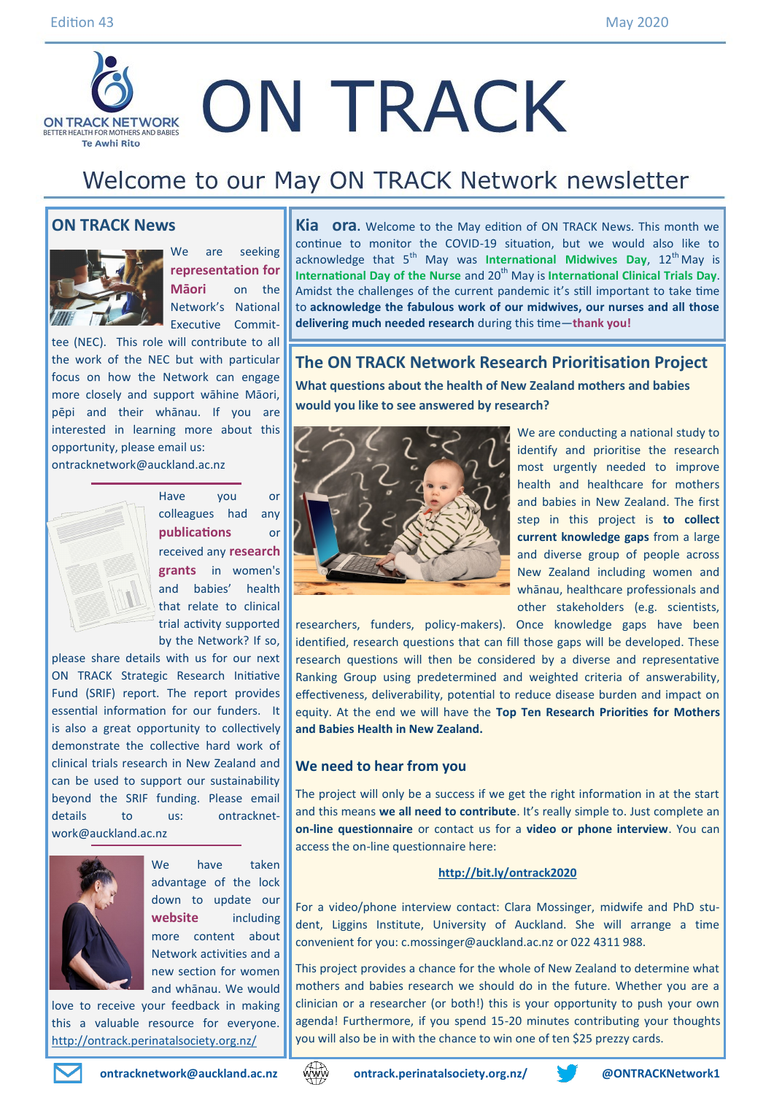## **ON TRACK ON TRACK NETWORK** BETTER HEALTH FOR MOTHERS A **Te Awhi Rito**

# Welcome to our May ON TRACK Network newsletter

**would you like to see answered by research?** 

#### **ON TRACK News**



We are seeking **representation for Māori** on the Network's National Executive Commit-

tee (NEC). This role will contribute to all the work of the NEC but with particular focus on how the Network can engage more closely and support wāhine Māori, pēpi and their whānau. If you are interested in learning more about this opportunity, please email us:

ontracknetwork@auckland.ac.nz



Have you or colleagues had any **publications** or received any **research grants** in women's and babies' health that relate to clinical trial activity supported by the Network? If so,

please share details with us for our next ON TRACK Strategic Research Initiative Fund (SRIF) report. The report provides essential information for our funders. It is also a great opportunity to collectively demonstrate the collective hard work of clinical trials research in New Zealand and can be used to support our sustainability beyond the SRIF funding. Please email details to us: ontracknetwork@auckland.ac.nz



We have taken advantage of the lock down to update our **website** including more content about Network activities and a new section for women and whānau. We would

love to receive your feedback in making this a valuable resource for everyone. <http://ontrack.perinatalsociety.org.nz/>









We are conducting a national study to identify and prioritise the research most urgently needed to improve health and healthcare for mothers and babies in New Zealand. The first step in this project is **to collect current knowledge gaps** from a large and diverse group of people across New Zealand including women and whānau, healthcare professionals and other stakeholders (e.g. scientists,

researchers, funders, policy-makers). Once knowledge gaps have been identified, research questions that can fill those gaps will be developed. These research questions will then be considered by a diverse and representative Ranking Group using predetermined and weighted criteria of answerability, effectiveness, deliverability, potential to reduce disease burden and impact on equity. At the end we will have the **Top Ten Research Priorities for Mothers and Babies Health in New Zealand.**

**The ON TRACK Network Research Prioritisation Project What questions about the health of New Zealand mothers and babies** 

**delivering much needed research** during this time—**thank you!**

**Kia ora.** Welcome to the May edition of ON TRACK News. This month we continue to monitor the COVID-19 situation, but we would also like to acknowledge that 5<sup>th</sup> May was **International Midwives Day**, 12<sup>th</sup> May is **International Day of the Nurse and 20<sup>th</sup> May is International Clinical Trials Day.** Amidst the challenges of the current pandemic it's still important to take time to **acknowledge the fabulous work of our midwives, our nurses and all those** 

#### **We need to hear from you**

The project will only be a success if we get the right information in at the start and this means **we all need to contribute**. It's really simple to. Just complete an **on-line questionnaire** or contact us for a **video or phone interview**. You can access the on-line questionnaire here:

#### **<http://bit.ly/ontrack2020>**

For a video/phone interview contact: Clara Mossinger, midwife and PhD student, Liggins Institute, University of Auckland. She will arrange a time convenient for you: [c.mossinger@auckland.ac.nz](mailto:c.mossinger@auckland.ac.nz) or 022 4311 988.

This project provides a chance for the whole of New Zealand to determine what mothers and babies research we should do in the future. Whether you are a clinician or a researcher (or both!) this is your opportunity to push your own agenda! Furthermore, if you spend 15-20 minutes contributing your thoughts you will also be in with the chance to win one of ten \$25 prezzy cards.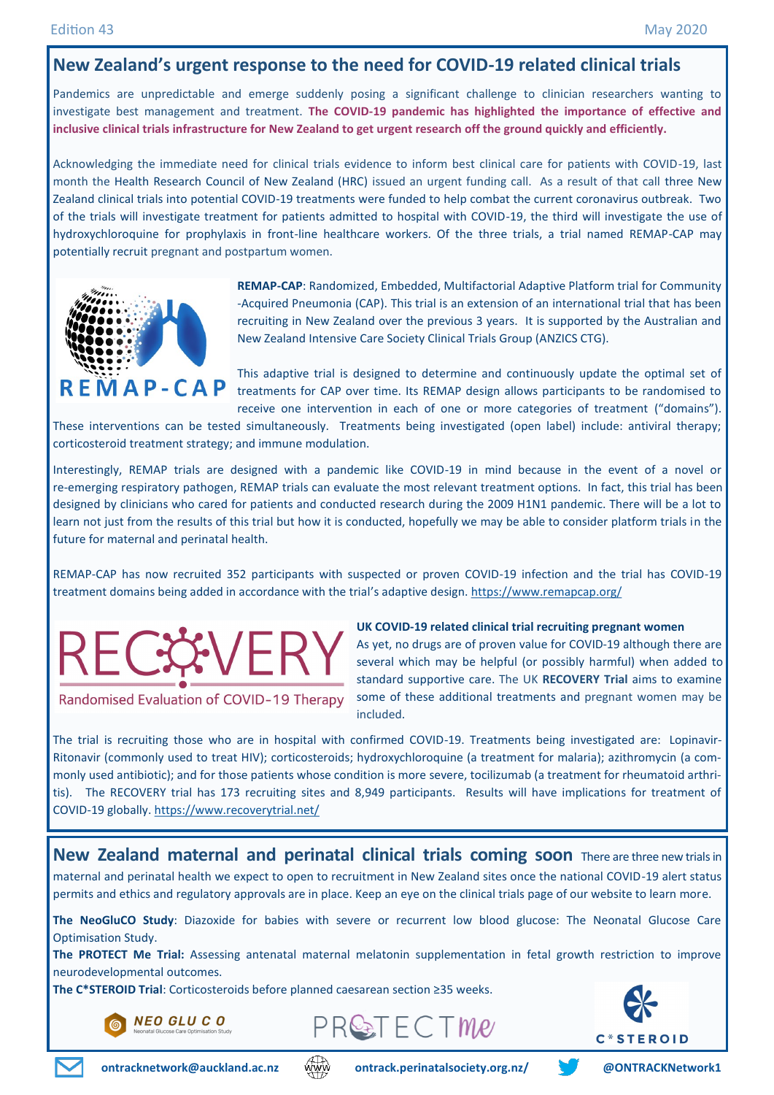## **New Zealand's urgent response to the need for COVID-19 related clinical trials**

Pandemics are unpredictable and emerge suddenly posing a significant challenge to clinician researchers wanting to investigate best management and treatment. **The COVID-19 pandemic has highlighted the importance of effective and inclusive clinical trials infrastructure for New Zealand to get urgent research off the ground quickly and efficiently.** 

Acknowledging the immediate need for clinical trials evidence to inform best clinical care for patients with COVID-19, last month the Health Research Council of New Zealand (HRC) issued an urgent funding call. As a result of that call three New Zealand clinical trials into potential COVID-19 treatments were funded to help combat the current coronavirus outbreak. Two of the trials will investigate treatment for patients admitted to hospital with COVID-19, the third will investigate the use of hydroxychloroquine for prophylaxis in front-line healthcare workers. Of the three trials, a trial named REMAP-CAP may potentially recruit pregnant and postpartum women.



**REMAP-CAP**: Randomized, Embedded, Multifactorial Adaptive Platform trial for Community -Acquired Pneumonia (CAP). This trial is an extension of an international trial that has been recruiting in New Zealand over the previous 3 years. It is supported by the Australian and New Zealand Intensive Care Society Clinical Trials Group (ANZICS CTG).

This adaptive trial is designed to determine and continuously update the optimal set of  **treatments for CAP over time. Its REMAP design allows participants to be randomised to** receive one intervention in each of one or more categories of treatment ("domains").

These interventions can be tested simultaneously. Treatments being investigated (open label) include: antiviral therapy; corticosteroid treatment strategy; and immune modulation.

Interestingly, REMAP trials are designed with a pandemic like COVID-19 in mind because in the event of a novel or re-emerging respiratory pathogen, REMAP trials can evaluate the most relevant treatment options. In fact, this trial has been designed by clinicians who cared for patients and conducted research during the 2009 H1N1 pandemic. There will be a lot to learn not just from the results of this trial but how it is conducted, hopefully we may be able to consider platform trials in the future for maternal and perinatal health.

REMAP-CAP has now recruited 352 participants with suspected or proven COVID-19 infection and the trial has COVID-19 treatment domains being added in accordance with the trial's adaptive design.<https://www.remapcap.org/>



Randomised Evaluation of COVID-19 Therapy

#### **UK COVID-19 related clinical trial recruiting pregnant women**

As yet, no drugs are of proven value for COVID-19 although there are several which may be helpful (or possibly harmful) when added to standard supportive care. The UK **RECOVERY Trial** aims to examine some of these additional treatments and pregnant women may be included.

The trial is recruiting those who are in hospital with confirmed COVID-19. Treatments being investigated are: Lopinavir-Ritonavir (commonly used to treat HIV); corticosteroids; hydroxychloroquine (a treatment for malaria); azithromycin (a commonly used antibiotic); and for those patients whose condition is more severe, tocilizumab (a treatment for rheumatoid arthritis). The RECOVERY trial has 173 recruiting sites and 8,949 participants. Results will have implications for treatment of COVID-19 globally. <https://www.recoverytrial.net/>

**New Zealand maternal and perinatal clinical trials coming soon** There are three new trials in maternal and perinatal health we expect to open to recruitment in New Zealand sites once the national COVID-19 alert status permits and ethics and regulatory approvals are in place. Keep an eye on the clinical trials page of our website to learn more.

**The NeoGluCO Study**: Diazoxide for babies with severe or recurrent low blood glucose: The Neonatal Glucose Care Optimisation Study.

**The PROTECT Me Trial:** Assessing antenatal maternal melatonin supplementation in fetal growth restriction to improve neurodevelopmental outcomes.

**The C\*STEROID Trial**: Corticosteroids before planned caesarean section ≥35 weeks.

**NEO GLU CO** 







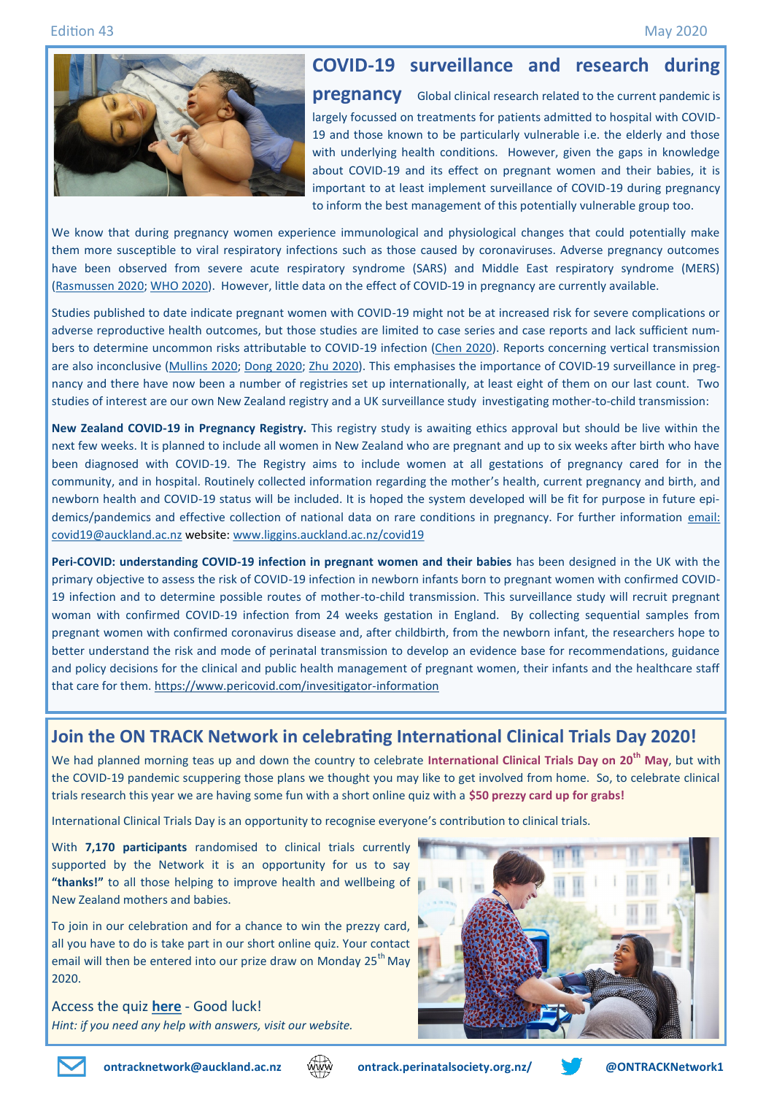#### Edition 43 May 2020



## **COVID-19 surveillance and research during**

**pregnancy** Global clinical research related to the current pandemic is largely focussed on treatments for patients admitted to hospital with COVID-19 and those known to be particularly vulnerable i.e. the elderly and those with underlying health conditions. However, given the gaps in knowledge about COVID-19 and its effect on pregnant women and their babies, it is important to at least implement surveillance of COVID-19 during pregnancy to inform the best management of this potentially vulnerable group too.

We know that during pregnancy women experience immunological and physiological changes that could potentially make them more susceptible to viral respiratory infections such as those caused by coronaviruses. Adverse pregnancy outcomes have been observed from severe acute respiratory syndrome (SARS) and Middle East respiratory syndrome (MERS) ([Rasmussen 2020;](https://www.ajog.org/article/S0002-9378(20)30197-6/pdf) [WHO 2020\)](https://www.who.int/publications-detail/clinical-management-of-severe-acute-respiratory-infection-when-novel-coronavirus-(ncov)-infection-is-suspected). However, little data on the effect of COVID-19 in pregnancy are currently available.

Studies published to date indicate pregnant women with COVID-19 might not be at increased risk for severe complications or adverse reproductive health outcomes, but those studies are limited to case series and case reports and lack sufficient numbers to determine uncommon risks attributable to COVID-19 infection ([Chen 2020\).](https://www.nejm.org/doi/full/10.1056/NEJMc2009226) Reports concerning vertical transmission are also inconclusive ([Mullins 2020;](https://obgyn.onlinelibrary.wiley.com/doi/full/10.1002/uog.22014) [Dong 2020;](https://jamanetwork.com/journals/jama/fullarticle/2763853) [Zhu 2020\).](https://www.ncbi.nlm.nih.gov/pubmed/32154135) This emphasises the importance of COVID-19 surveillance in pregnancy and there have now been a number of registries set up internationally, at least eight of them on our last count. Two studies of interest are our own New Zealand registry and a UK surveillance study investigating mother-to-child transmission:

**New Zealand COVID-19 in Pregnancy Registry.** This registry study is awaiting ethics approval but should be live within the next few weeks. It is planned to include all women in New Zealand who are pregnant and up to six weeks after birth who have been diagnosed with COVID-19. The Registry aims to include women at all gestations of pregnancy cared for in the community, and in hospital. Routinely collected information regarding the mother's health, current pregnancy and birth, and newborn health and COVID-19 status will be included. It is hoped the system developed will be fit for purpose in future epidemics/pandemics and effective collection of national data on rare conditions in pregnancy. For further information email: [covid19@auckland.ac.nz](mailto:covid19@auckland.ac.nz) website: [www.liggins.auckland.ac.nz/covid19](http://www.liggins.auckland.ac.nz/covid19)

**Peri-COVID: understanding COVID-19 infection in pregnant women and their babies** has been designed in the UK with the primary objective to assess the risk of COVID-19 infection in newborn infants born to pregnant women with confirmed COVID-19 infection and to determine possible routes of mother-to-child transmission. This surveillance study will recruit pregnant woman with confirmed COVID-19 infection from 24 weeks gestation in England. By collecting sequential samples from pregnant women with confirmed coronavirus disease and, after childbirth, from the newborn infant, the researchers hope to better understand the risk and mode of perinatal transmission to develop an evidence base for recommendations, guidance and policy decisions for the clinical and public health management of pregnant women, their infants and the healthcare staff that care for them. [https://www.pericovid.com/invesitigator](https://www.pericovid.com/invesitigator-information)-information

## **Join the ON TRACK Network in celebrating International Clinical Trials Day 2020!**

We had planned morning teas up and down the country to celebrate **International Clinical Trials Day on 20th May**, but with the COVID-19 pandemic scuppering those plans we thought you may like to get involved from home. So, to celebrate clinical trials research this year we are having some fun with a short online quiz with a **\$50 prezzy card up for grabs!**

International Clinical Trials Day is an opportunity to recognise everyone's contribution to clinical trials.

With **7,170 participants** randomised to clinical trials currently supported by the Network it is an opportunity for us to say **"thanks!"** to all those helping to improve health and wellbeing of New Zealand mothers and babies.

To join in our celebration and for a chance to win the prezzy card, all you have to do is take part in our short online quiz. Your contact email will then be entered into our prize draw on Monday 25<sup>th</sup> May 2020.

Access the quiz **[here](https://www.surveymonkey.com/r/3XYQD76)** - Good luck! *Hint: if you need any help with answers, visit our website.*